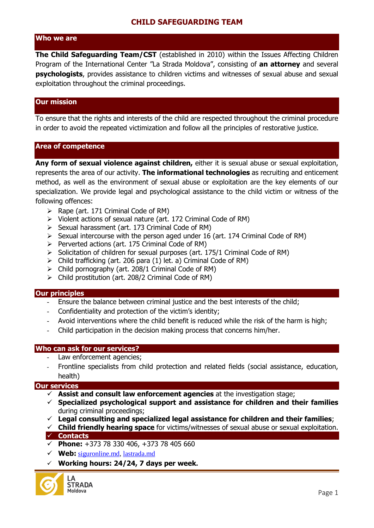# **Who we are**

**The Child Safeguarding Team/CST** (established in 2010) within the Issues Affecting Children Program of the International Center "La Strada Moldova", consisting of **an attorney** and several **psychologists**, provides assistance to children victims and witnesses of sexual abuse and sexual exploitation throughout the criminal proceedings.

### **Our mission**

To ensure that the rights and interests of the child are respected throughout the criminal procedure in order to avoid the repeated victimization and follow all the principles of restorative justice.

#### **Area of competence**

**Any form of sexual violence against children,** either it is sexual abuse or sexual exploitation, represents the area of our activity. **The informational technologies** as recruiting and enticement method, as well as the environment of sexual abuse or exploitation are the key elements of our specialization. We provide legal and psychological assistance to the child victim or witness of the following offences:

- $\triangleright$  Rape (art. 171 Criminal Code of RM)
- Violent actions of sexual nature (art. 172 Criminal Code of RM)
- $\triangleright$  Sexual harassment (art. 173 Criminal Code of RM)
- $\triangleright$  Sexual intercourse with the person aged under 16 (art. 174 Criminal Code of RM)
- $\triangleright$  Perverted actions (art. 175 Criminal Code of RM)
- $\triangleright$  Solicitation of children for sexual purposes (art. 175/1 Criminal Code of RM)
- $\triangleright$  Child trafficking (art. 206 para (1) let. a) Criminal Code of RM)
- $\triangleright$  Child pornography (art. 208/1 Criminal Code of RM)
- $\triangleright$  Child prostitution (art. 208/2 Criminal Code of RM)

#### **Our principles**

- Ensure the balance between criminal justice and the best interests of the child;
- Confidentiality and protection of the victim's identity;
- Avoid interventions where the child benefit is reduced while the risk of the harm is high;
- Child participation in the decision making process that concerns him/her.

#### **Who can ask for our services?**

- Law enforcement agencies;
- Frontline specialists from child protection and related fields (social assistance, education, health)

#### **Our services**

- **Assist and consult law enforcement agencies** at the investigation stage;
- **Specialized psychological support and assistance for children and their families**  during criminal proceedings;
- **Legal consulting and specialized legal assistance for children and their families**;
- **Child friendly hearing space** for victims/witnesses of sexual abuse or sexual exploitation. **Contacts**
- **Phone:** +373 78 330 406, +373 78 405 660
- **Web:** [siguronline.md,](http://lastrada.md/) lastrada.md
- **Working hours: 24/24, 7 days per week.**

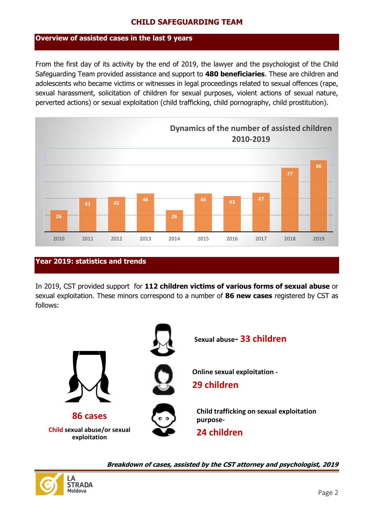## **Overview of assisted cases in the last 9 years**

From the first day of its activity by the end of 2019, the lawyer and the psychologist of the Child Safeguarding Team provided assistance and support to **480 beneficiaries**. These are children and adolescents who became victims or witnesses in legal proceedings related to sexual offences (rape, sexual harassment, solicitation of children for sexual purposes, violent actions of sexual nature, perverted actions) or sexual exploitation (child trafficking, child pornography, child prostitution).



# **Year 2019: statistics and trends**

In 2019, CST provided support for **112 children victims of various forms of sexual abuse** or sexual exploitation. These minors correspond to a number of **86 new cases** registered by CST as follows:





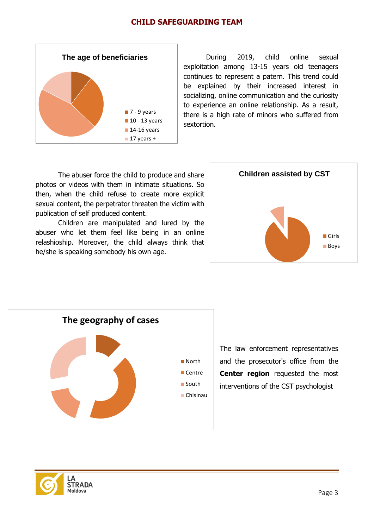

During 2019, child online sexual exploitation among 13-15 years old teenagers continues to represent a patern. This trend could be explained by their increased interest in socializing, online communication and the curiosity to experience an online relationship. As a result, there is a high rate of minors who suffered from sextortion.

The abuser force the child to produce and share photos or videos with them in intimate situations. So then, when the child refuse to create more explicit sexual content, the perpetrator threaten the victim with publication of self produced content.

Children are manipulated and lured by the abuser who let them feel like being in an online relashioship. Moreover, the child always think that he/she is speaking somebody his own age.





The law enforcement representatives and the prosecutor's office from the **Center region** requested the most interventions of the CST psychologist